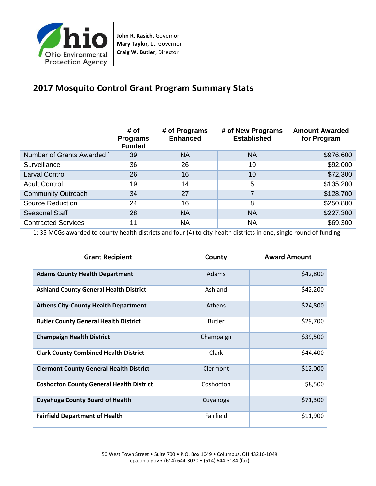

**John R. Kasich**, Governor **Mary Taylor**, Lt. Governor **Craig W. Butler**, Director

## **2017 Mosquito Control Grant Program Summary Stats**

|                                       | # of<br><b>Programs</b><br><b>Funded</b> | # of Programs<br><b>Enhanced</b> | # of New Programs<br><b>Established</b> | <b>Amount Awarded</b><br>for Program |
|---------------------------------------|------------------------------------------|----------------------------------|-----------------------------------------|--------------------------------------|
| Number of Grants Awarded <sup>1</sup> | 39                                       | <b>NA</b>                        | <b>NA</b>                               | \$976,600                            |
| Surveillance                          | 36                                       | 26                               | 10                                      | \$92,000                             |
| <b>Larval Control</b>                 | 26                                       | 16                               | 10                                      | \$72,300                             |
| <b>Adult Control</b>                  | 19                                       | 14                               | 5                                       | \$135,200                            |
| <b>Community Outreach</b>             | 34                                       | 27                               | 7                                       | \$128,700                            |
| Source Reduction                      | 24                                       | 16                               | 8                                       | \$250,800                            |
| Seasonal Staff                        | 28                                       | <b>NA</b>                        | <b>NA</b>                               | \$227,300                            |
| <b>Contracted Services</b>            | 11                                       | <b>NA</b>                        | <b>NA</b>                               | \$69,300                             |

1: 35 MCGs awarded to county health districts and four (4) to city health districts in one, single round of funding

| <b>Grant Recipient</b>                          | County        | <b>Award Amount</b> |
|-------------------------------------------------|---------------|---------------------|
| <b>Adams County Health Department</b>           | Adams         | \$42,800            |
| <b>Ashland County General Health District</b>   | Ashland       | \$42,200            |
| <b>Athens City-County Health Department</b>     | Athens        | \$24,800            |
| <b>Butler County General Health District</b>    | <b>Butler</b> | \$29,700            |
| <b>Champaign Health District</b>                | Champaign     | \$39,500            |
| <b>Clark County Combined Health District</b>    | Clark         | \$44,400            |
| <b>Clermont County General Health District</b>  | Clermont      | \$12,000            |
| <b>Coshocton County General Health District</b> | Coshocton     | \$8,500             |
| <b>Cuyahoga County Board of Health</b>          | Cuyahoga      | \$71,300            |
| <b>Fairfield Department of Health</b>           | Fairfield     | \$11,900            |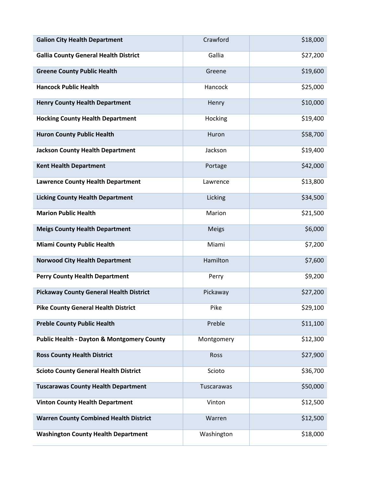| <b>Galion City Health Department</b>                  | Crawford     | \$18,000 |
|-------------------------------------------------------|--------------|----------|
| <b>Gallia County General Health District</b>          | Gallia       | \$27,200 |
| <b>Greene County Public Health</b>                    | Greene       | \$19,600 |
| <b>Hancock Public Health</b>                          | Hancock      | \$25,000 |
| <b>Henry County Health Department</b>                 | Henry        | \$10,000 |
| <b>Hocking County Health Department</b>               | Hocking      | \$19,400 |
| <b>Huron County Public Health</b>                     | Huron        | \$58,700 |
| <b>Jackson County Health Department</b>               | Jackson      | \$19,400 |
| <b>Kent Health Department</b>                         | Portage      | \$42,000 |
| <b>Lawrence County Health Department</b>              | Lawrence     | \$13,800 |
| <b>Licking County Health Department</b>               | Licking      | \$34,500 |
| <b>Marion Public Health</b>                           | Marion       | \$21,500 |
| <b>Meigs County Health Department</b>                 | <b>Meigs</b> | \$6,000  |
| <b>Miami County Public Health</b>                     | Miami        | \$7,200  |
| <b>Norwood City Health Department</b>                 | Hamilton     | \$7,600  |
| <b>Perry County Health Department</b>                 | Perry        | \$9,200  |
| <b>Pickaway County General Health District</b>        | Pickaway     | \$27,200 |
| <b>Pike County General Health District</b>            | Pike         | \$29,100 |
| <b>Preble County Public Health</b>                    | Preble       | \$11,100 |
| <b>Public Health - Dayton &amp; Montgomery County</b> | Montgomery   | \$12,300 |
| <b>Ross County Health District</b>                    | Ross         | \$27,900 |
| <b>Scioto County General Health District</b>          | Scioto       | \$36,700 |
| <b>Tuscarawas County Health Department</b>            | Tuscarawas   | \$50,000 |
| <b>Vinton County Health Department</b>                | Vinton       | \$12,500 |
| <b>Warren County Combined Health District</b>         | Warren       | \$12,500 |
| <b>Washington County Health Department</b>            | Washington   | \$18,000 |